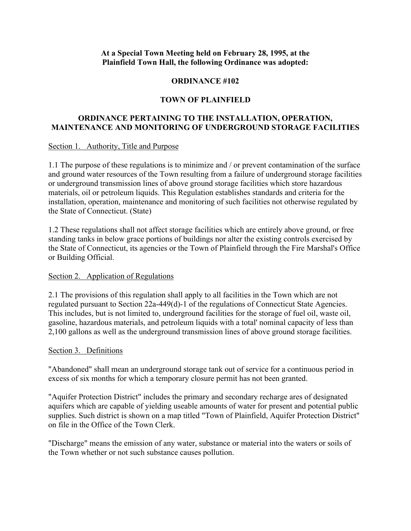#### **At a Special Town Meeting held on February 28, 1995, at the Plainfield Town Hall, the following Ordinance was adopted:**

### **ORDINANCE #102**

### **TOWN OF PLAINFIELD**

### **ORDINANCE PERTAINING TO THE INSTALLATION, OPERATION, MAINTENANCE AND MONITORING OF UNDERGROUND STORAGE FACILITIES**

#### Section 1. Authority, Title and Purpose

1.1 The purpose of these regulations is to minimize and / or prevent contamination of the surface and ground water resources of the Town resulting from a failure of underground storage facilities or underground transmission lines of above ground storage facilities which store hazardous materials, oil or petroleum liquids. This Regulation establishes standards and criteria for the installation, operation, maintenance and monitoring of such facilities not otherwise regulated by the State of Connecticut. (State)

1.2 These regulations shall not affect storage facilities which are entirely above ground, or free standing tanks in below grace portions of buildings nor alter the existing controls exercised by the State of Connecticut, its agencies or the Town of Plainfield through the Fire Marshal's Office or Building Official.

#### Section 2. Application of Regulations

2.1 The provisions of this regulation shall apply to all facilities in the Town which are not regulated pursuant to Section 22a-449(d)-1 of the regulations of Connecticut State Agencies. This includes, but is not limited to, underground facilities for the storage of fuel oil, waste oil, gasoline, hazardous materials, and petroleum liquids with a total' nominal capacity of less than 2,100 gallons as well as the underground transmission lines of above ground storage facilities.

#### Section 3. Definitions

"Abandoned" shall mean an underground storage tank out of service for a continuous period in excess of six months for which a temporary closure permit has not been granted.

"Aquifer Protection District" includes the primary and secondary recharge ares of designated aquifers which are capable of yielding useable amounts of water for present and potential public supplies. Such district is shown on a map titled "Town of Plainfield, Aquifer Protection District" on file in the Office of the Town Clerk.

"Discharge" means the emission of any water, substance or material into the waters or soils of the Town whether or not such substance causes pollution.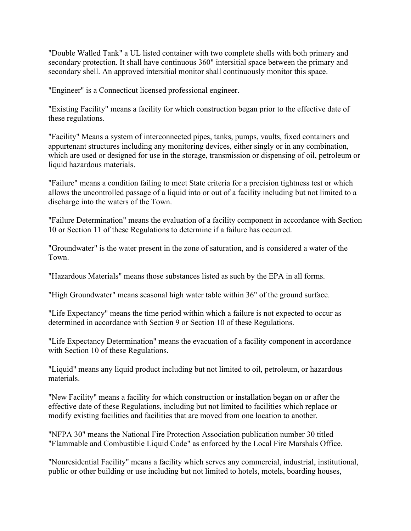"Double Walled Tank" a UL listed container with two complete shells with both primary and secondary protection. It shall have continuous 360" intersitial space between the primary and secondary shell. An approved intersitial monitor shall continuously monitor this space.

"Engineer" is a Connecticut licensed professional engineer.

"Existing Facility" means a facility for which construction began prior to the effective date of these regulations.

"Facility" Means a system of interconnected pipes, tanks, pumps, vaults, fixed containers and appurtenant structures including any monitoring devices, either singly or in any combination, which are used or designed for use in the storage, transmission or dispensing of oil, petroleum or liquid hazardous materials.

"Failure" means a condition failing to meet State criteria for a precision tightness test or which allows the uncontrolled passage of a liquid into or out of a facility including but not limited to a discharge into the waters of the Town.

"Failure Determination" means the evaluation of a facility component in accordance with Section 10 or Section 11 of these Regulations to determine if a failure has occurred.

"Groundwater" is the water present in the zone of saturation, and is considered a water of the Town.

"Hazardous Materials" means those substances listed as such by the EPA in all forms.

"High Groundwater" means seasonal high water table within 36" of the ground surface.

"Life Expectancy" means the time period within which a failure is not expected to occur as determined in accordance with Section 9 or Section 10 of these Regulations.

"Life Expectancy Determination" means the evacuation of a facility component in accordance with Section 10 of these Regulations.

"Liquid" means any liquid product including but not limited to oil, petroleum, or hazardous materials.

"New Facility" means a facility for which construction or installation began on or after the effective date of these Regulations, including but not limited to facilities which replace or modify existing facilities and facilities that are moved from one location to another.

"NFPA 30" means the National Fire Protection Association publication number 30 titled "Flammable and Combustible Liquid Code" as enforced by the Local Fire Marshals Office.

"Nonresidential Facility" means a facility which serves any commercial, industrial, institutional, public or other building or use including but not limited to hotels, motels, boarding houses,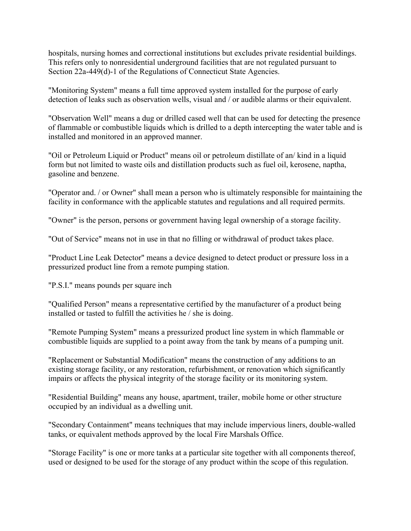hospitals, nursing homes and correctional institutions but excludes private residential buildings. This refers only to nonresidential underground facilities that are not regulated pursuant to Section 22a-449(d)-1 of the Regulations of Connecticut State Agencies.

"Monitoring System" means a full time approved system installed for the purpose of early detection of leaks such as observation wells, visual and / or audible alarms or their equivalent.

"Observation Well" means a dug or drilled cased well that can be used for detecting the presence of flammable or combustible liquids which is drilled to a depth intercepting the water table and is installed and monitored in an approved manner.

"Oil or Petroleum Liquid or Product" means oil or petroleum distillate of an/ kind in a liquid form but not limited to waste oils and distillation products such as fuel oil, kerosene, naptha, gasoline and benzene.

"Operator and. / or Owner" shall mean a person who is ultimately responsible for maintaining the facility in conformance with the applicable statutes and regulations and all required permits.

"Owner" is the person, persons or government having legal ownership of a storage facility.

"Out of Service" means not in use in that no filling or withdrawal of product takes place.

"Product Line Leak Detector" means a device designed to detect product or pressure loss in a pressurized product line from a remote pumping station.

"P.S.I." means pounds per square inch

"Qualified Person" means a representative certified by the manufacturer of a product being installed or tasted to fulfill the activities he / she is doing.

"Remote Pumping System" means a pressurized product line system in which flammable or combustible liquids are supplied to a point away from the tank by means of a pumping unit.

"Replacement or Substantial Modification" means the construction of any additions to an existing storage facility, or any restoration, refurbishment, or renovation which significantly impairs or affects the physical integrity of the storage facility or its monitoring system.

"Residential Building" means any house, apartment, trailer, mobile home or other structure occupied by an individual as a dwelling unit.

"Secondary Containment" means techniques that may include impervious liners, double-walled tanks, or equivalent methods approved by the local Fire Marshals Office.

"Storage Facility" is one or more tanks at a particular site together with all components thereof, used or designed to be used for the storage of any product within the scope of this regulation.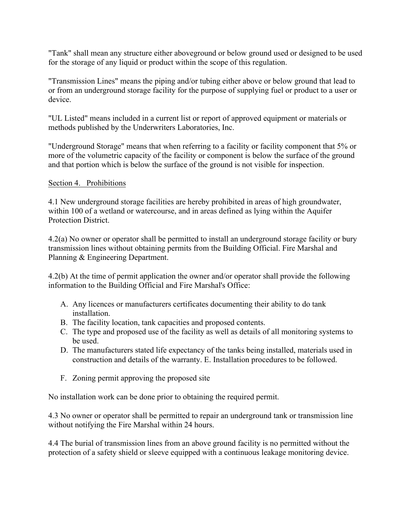"Tank" shall mean any structure either aboveground or below ground used or designed to be used for the storage of any liquid or product within the scope of this regulation.

"Transmission Lines" means the piping and/or tubing either above or below ground that lead to or from an underground storage facility for the purpose of supplying fuel or product to a user or device.

"UL Listed" means included in a current list or report of approved equipment or materials or methods published by the Underwriters Laboratories, Inc.

"Underground Storage" means that when referring to a facility or facility component that 5% or more of the volumetric capacity of the facility or component is below the surface of the ground and that portion which is below the surface of the ground is not visible for inspection.

#### Section 4. Prohibitions

4.1 New underground storage facilities are hereby prohibited in areas of high groundwater, within 100 of a wetland or watercourse, and in areas defined as lying within the Aquifer Protection District.

4.2(a) No owner or operator shall be permitted to install an underground storage facility or bury transmission lines without obtaining permits from the Building Official. Fire Marshal and Planning & Engineering Department.

4.2(b) At the time of permit application the owner and/or operator shall provide the following information to the Building Official and Fire Marshal's Office:

- A. Any licences or manufacturers certificates documenting their ability to do tank installation.
- B. The facility location, tank capacities and proposed contents.
- C. The type and proposed use of the facility as well as details of all monitoring systems to be used.
- D. The manufacturers stated life expectancy of the tanks being installed, materials used in construction and details of the warranty. E. Installation procedures to be followed.
- F. Zoning permit approving the proposed site

No installation work can be done prior to obtaining the required permit.

4.3 No owner or operator shall be permitted to repair an underground tank or transmission line without notifying the Fire Marshal within 24 hours.

4.4 The burial of transmission lines from an above ground facility is no permitted without the protection of a safety shield or sleeve equipped with a continuous leakage monitoring device.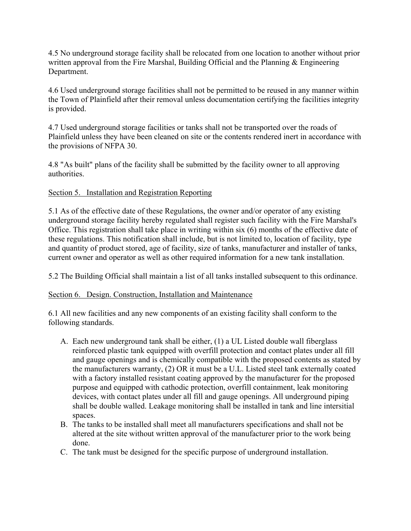4.5 No underground storage facility shall be relocated from one location to another without prior written approval from the Fire Marshal, Building Official and the Planning & Engineering Department.

4.6 Used underground storage facilities shall not be permitted to be reused in any manner within the Town of Plainfield after their removal unless documentation certifying the facilities integrity is provided.

4.7 Used underground storage facilities or tanks shall not be transported over the roads of Plainfield unless they have been cleaned on site or the contents rendered inert in accordance with the provisions of NFPA 30.

4.8 "As built" plans of the facility shall be submitted by the facility owner to all approving authorities.

## Section 5. Installation and Registration Reporting

5.1 As of the effective date of these Regulations, the owner and/or operator of any existing underground storage facility hereby regulated shall register such facility with the Fire Marshal's Office. This registration shall take place in writing within six (6) months of the effective date of these regulations. This notification shall include, but is not limited to, location of facility, type and quantity of product stored, age of facility, size of tanks, manufacturer and installer of tanks, current owner and operator as well as other required information for a new tank installation.

5.2 The Building Official shall maintain a list of all tanks installed subsequent to this ordinance.

## Section 6. Design. Construction, Installation and Maintenance

6.1 All new facilities and any new components of an existing facility shall conform to the following standards.

- A. Each new underground tank shall be either, (1) a UL Listed double wall fiberglass reinforced plastic tank equipped with overfill protection and contact plates under all fill and gauge openings and is chemically compatible with the proposed contents as stated by the manufacturers warranty, (2) OR it must be a U.L. Listed steel tank externally coated with a factory installed resistant coating approved by the manufacturer for the proposed purpose and equipped with cathodic protection, overfill containment, leak monitoring devices, with contact plates under all fill and gauge openings. All underground piping shall be double walled. Leakage monitoring shall be installed in tank and line intersitial spaces.
- B. The tanks to be installed shall meet all manufacturers specifications and shall not be altered at the site without written approval of the manufacturer prior to the work being done.
- C. The tank must be designed for the specific purpose of underground installation.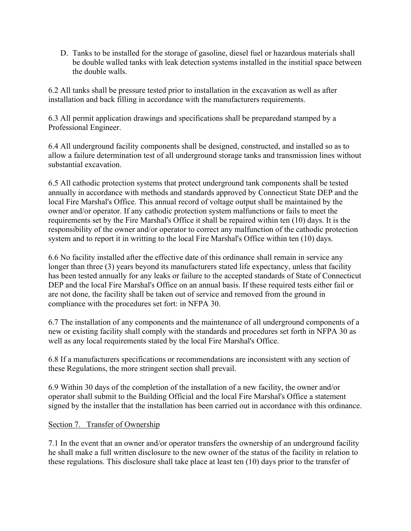D. Tanks to be installed for the storage of gasoline, diesel fuel or hazardous materials shall be double walled tanks with leak detection systems installed in the institial space between the double walls.

6.2 All tanks shall be pressure tested prior to installation in the excavation as well as after installation and back filling in accordance with the manufacturers requirements.

6.3 All permit application drawings and specifications shall be preparedand stamped by a Professional Engineer.

6.4 All underground facility components shall be designed, constructed, and installed so as to allow a failure determination test of all underground storage tanks and transmission lines without substantial excavation.

6.5 All cathodic protection systems that protect underground tank components shall be tested annually in accordance with methods and standards approved by Connecticut State DEP and the local Fire Marshal's Office. This annual record of voltage output shall be maintained by the owner and/or operator. If any cathodic protection system malfunctions or fails to meet the requirements set by the Fire Marshal's Office it shall be repaired within ten (10) days. It is the responsibility of the owner and/or operator to correct any malfunction of the cathodic protection system and to report it in writting to the local Fire Marshal's Office within ten (10) days.

6.6 No facility installed after the effective date of this ordinance shall remain in service any longer than three (3) years beyond its manufacturers stated life expectancy, unless that facility has been tested annually for any leaks or failure to the accepted standards of State of Connecticut DEP and the local Fire Marshal's Office on an annual basis. If these required tests either fail or are not done, the facility shall be taken out of service and removed from the ground in compliance with the procedures set fort: in NFPA 30.

6.7 The installation of any components and the maintenance of all underground components of a new or existing facility shall comply with the standards and procedures set forth in NFPA 30 as well as any local requirements stated by the local Fire Marshal's Office.

6.8 If a manufacturers specifications or recommendations are inconsistent with any section of these Regulations, the more stringent section shall prevail.

6.9 Within 30 days of the completion of the installation of a new facility, the owner and/or operator shall submit to the Building Official and the local Fire Marshal's Office a statement signed by the installer that the installation has been carried out in accordance with this ordinance.

## Section 7. Transfer of Ownership

7.1 In the event that an owner and/or operator transfers the ownership of an underground facility he shall make a full written disclosure to the new owner of the status of the facility in relation to these regulations. This disclosure shall take place at least ten (10) days prior to the transfer of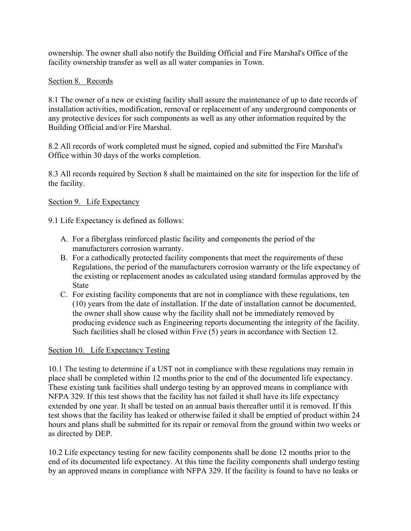ownership. The owner shall also notify the Building Official and Fire Marshal's Office of the facility ownership transfer as well as all water companies in Town.

## Section 8. Records

8.1 The owner of a new or existing facility shall assure the maintenance of up to date records of installation activities, modification, removal or replacement of any underground components or any protective devices for such components as well as any other information required by the Building Official and/or Fire Marshal.

8.2 All records of work completed must be signed, copied and submitted the Fire Marshal's Office within 30 days of the works completion.

8.3 All records required by Section 8 shall be maintained on the site for inspection for the life of the facility.

## Section 9. Life Expectancy

9.1 Life Expectancy is defined as follows:

- A. For a fiberglass reinforced plastic facility and components the period of the manufacturers corrosion warranty.
- B. For a cathodically protected facility components that meet the requirements of these Regulations, the period of the manufacturers corrosion warranty or the life expectancy of the existing or replacement anodes as calculated using standard formulas approved by the State
- C. For existing facility components that are not in compliance with these regulations, ten (10) years from the date of installation. If the date of installation cannot be documented, the owner shall show cause why the facility shall not be immediately removed by producing evidence such as Engineering reports documenting the integrity of the facility. Such facilities shall be closed within Five (5) years in accordance with Section 12.

## Section 10. Life Expectancy Testing

10.1 The testing to determine if a UST not in compliance with these regulations may remain in place shall be completed within 12 months prior to the end of the documented life expectancy. These existing tank facilities shall undergo testing by an approved means in compliance with NFPA 329. If this test shows that the facility has not failed it shall have its life expectancy extended by one year. It shall be tested on an annual basis thereafter until it is removed. If this test shows that the facility has leaked or otherwise failed it shall be emptied of product within 24 hours and plans shall be submitted for its repair or removal from the ground within two weeks or as directed by DEP.

10.2 Life expectancy testing for new facility components shall be done 12 months prior to the end of its documented life expectancy. At this time the facility components shall undergo testing by an approved means in compliance with NFPA 329. If the facility is found to have no leaks or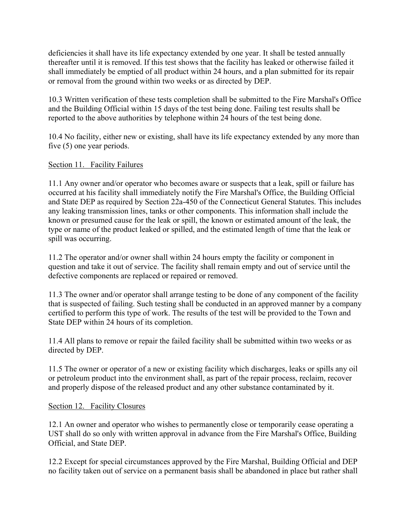deficiencies it shall have its life expectancy extended by one year. It shall be tested annually thereafter until it is removed. If this test shows that the facility has leaked or otherwise failed it shall immediately be emptied of all product within 24 hours, and a plan submitted for its repair or removal from the ground within two weeks or as directed by DEP.

10.3 Written verification of these tests completion shall be submitted to the Fire Marshal's Office and the Building Official within 15 days of the test being done. Failing test results shall be reported to the above authorities by telephone within 24 hours of the test being done.

10.4 No facility, either new or existing, shall have its life expectancy extended by any more than five (5) one year periods.

# Section 11. Facility Failures

11.1 Any owner and/or operator who becomes aware or suspects that a leak, spill or failure has occurred at his facility shall immediately notify the Fire Marshal's Office, the Building Official and State DEP as required by Section 22a-450 of the Connecticut General Statutes. This includes any leaking transmission lines, tanks or other components. This information shall include the known or presumed cause for the leak or spill, the known or estimated amount of the leak, the type or name of the product leaked or spilled, and the estimated length of time that the leak or spill was occurring.

11.2 The operator and/or owner shall within 24 hours empty the facility or component in question and take it out of service. The facility shall remain empty and out of service until the defective components are replaced or repaired or removed.

11.3 The owner and/or operator shall arrange testing to be done of any component of the facility that is suspected of failing. Such testing shall be conducted in an approved manner by a company certified to perform this type of work. The results of the test will be provided to the Town and State DEP within 24 hours of its completion.

11.4 All plans to remove or repair the failed facility shall be submitted within two weeks or as directed by DEP.

11.5 The owner or operator of a new or existing facility which discharges, leaks or spills any oil or petroleum product into the environment shall, as part of the repair process, reclaim, recover and properly dispose of the released product and any other substance contaminated by it.

## Section 12. Facility Closures

12.1 An owner and operator who wishes to permanently close or temporarily cease operating a UST shall do so only with written approval in advance from the Fire Marshal's Office, Building Official, and State DEP.

12.2 Except for special circumstances approved by the Fire Marshal, Building Official and DEP no facility taken out of service on a permanent basis shall be abandoned in place but rather shall